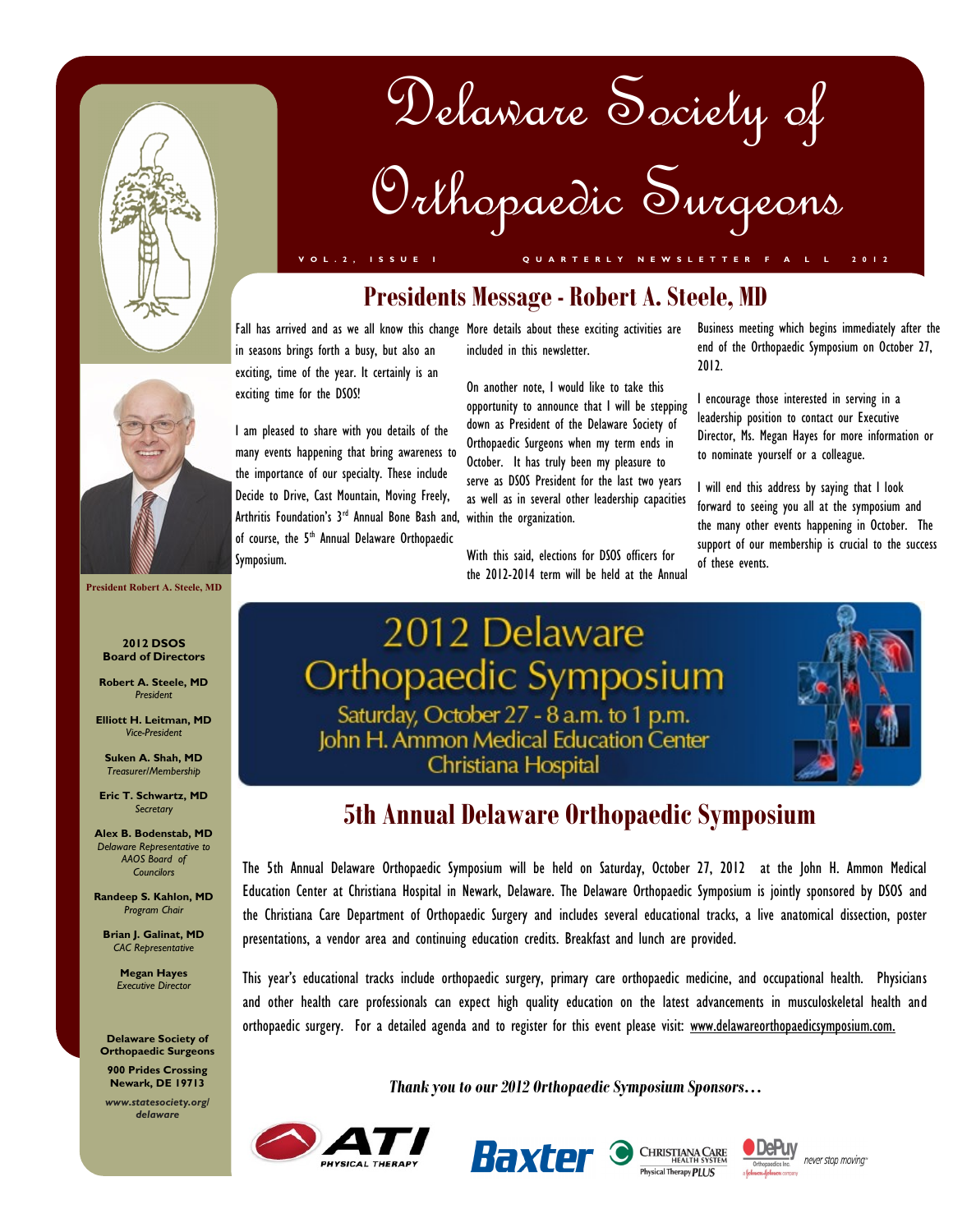

# Delaware Society of Orthopaedic Surgeons

**V O L . 2 , I S S U E I Q U A R T E R L Y N E W S L E T T E R F A L L 2 0 1 2**

# **Presidents Message - Robert A. Steele, MD**

in seasons brings forth a busy, but also an exciting, time of the year. It certainly is an exciting time for the DSOS!

I am pleased to share with you details of the many events happening that bring awareness to the importance of our specialty. These include Decide to Drive, Cast Mountain, Moving Freely, Arthritis Foundation's 3<sup>rd</sup> Annual Bone Bash and, within the organization. of course, the 5<sup>th</sup> Annual Delaware Orthopaedic Symposium.

Fall has arrived and as we all know this change More details about these exciting activities are included in this newsletter.

> On another note, I would like to take this opportunity to announce that I will be stepping down as President of the Delaware Society of Orthopaedic Surgeons when my term ends in October. It has truly been my pleasure to serve as DSOS President for the last two years as well as in several other leadership capacities

> With this said, elections for DSOS officers for the 2012-2014 term will be held at the Annual

Business meeting which begins immediately after the end of the Orthopaedic Symposium on October 27, 2012.

I encourage those interested in serving in a leadership position to contact our Executive Director, Ms. Megan Hayes for more information or to nominate yourself or a colleague.

I will end this address by saying that I look forward to seeing you all at the symposium and the many other events happening in October. The support of our membership is crucial to the success of these events.

# 2012 Delaware Orthopaedic Symposium Saturday, October 27 - 8 a.m. to 1 p.m.<br>John H. Ammon Medical Education Center Christiana Hospital

# **5th Annual Delaware Orthopaedic Symposium**

The 5th Annual Delaware Orthopaedic Symposium will be held on Saturday, October 27, 2012 at the John H. Ammon Medical Education Center at Christiana Hospital in Newark, Delaware. The Delaware Orthopaedic Symposium is jointly sponsored by DSOS and the Christiana Care Department of Orthopaedic Surgery and includes several educational tracks, a live anatomical dissection, poster presentations, a vendor area and continuing education credits. Breakfast and lunch are provided.

This year's educational tracks include orthopaedic surgery, primary care orthopaedic medicine, and occupational health. Physicians and other health care professionals can expect high quality education on the latest advancements in musculoskeletal health and orthopaedic surgery. For a detailed agenda and to register for this event please visit: www.delawareorthopaedicsymposium.com.

*Thank you to our 2012 Orthopaedic Symposium Sponsors…*













**President Robert A. Steele, MD**

#### **2012 DSOS Board of Directors**

**Robert A. Steele, MD** *President*

**Elliott H. Leitman, MD** *Vice-President*

**Suken A. Shah, MD** *Treasurer/Membership*

**Eric T. Schwartz, MD** *Secretary*

**Alex B. Bodenstab, MD** *Delaware Representative to AAOS Board of Councilors*

**Randeep S. Kahlon, MD** *Program Chair*

**Brian J. Galinat, MD** *CAC Representative*

> **Megan Hayes** *Executive Director*

**Delaware Society of Orthopaedic Surgeons**

**900 Prides Crossing Newark, DE 19713**

*www.statesociety.org/ delaware*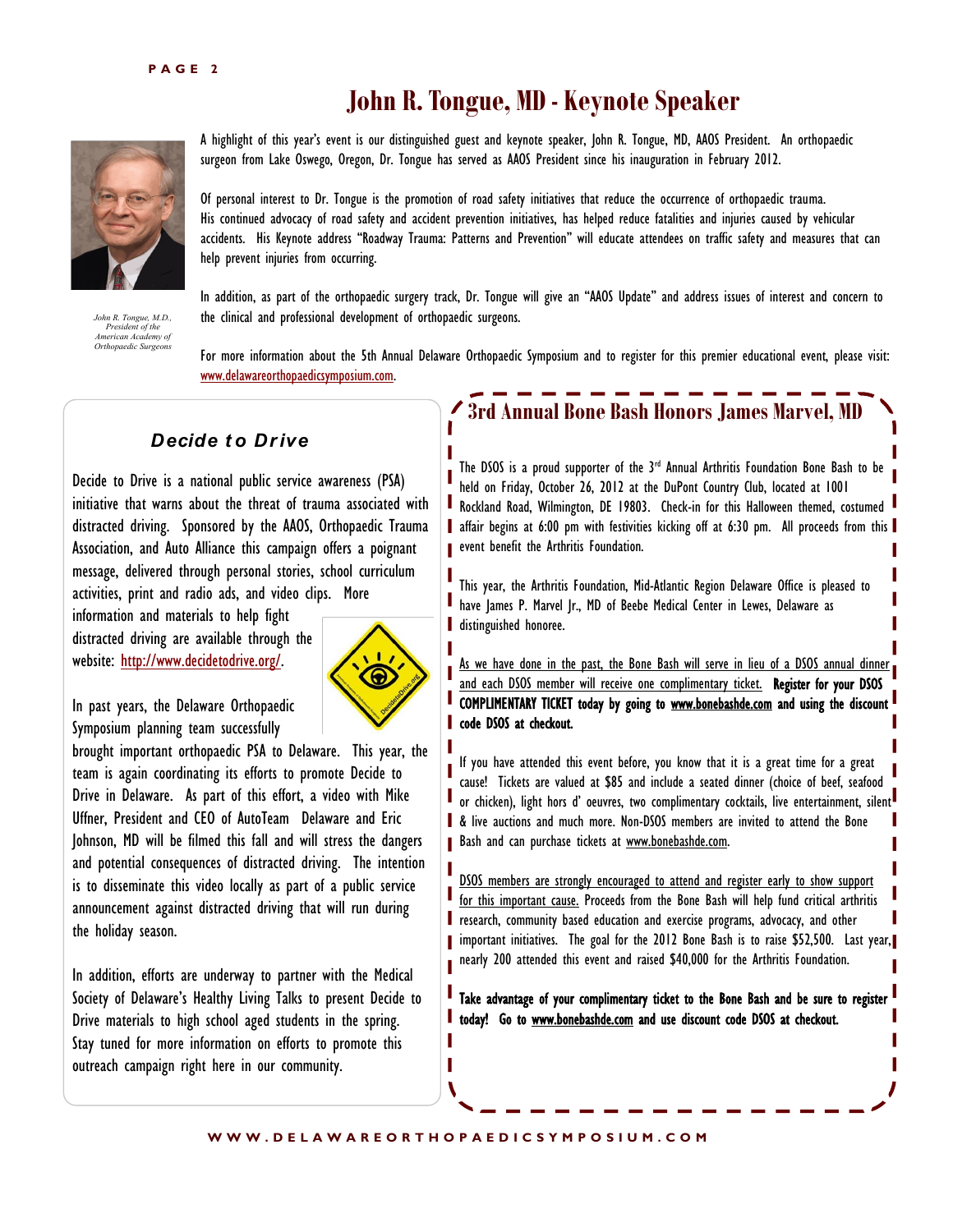# **John R. Tongue, MD - Keynote Speaker**



*John R. Tongue, M.D., President of the American Academy of Orthopaedic Surgeons* 

A highlight of this year's event is our distinguished guest and keynote speaker, John R. Tongue, MD, AAOS President. An orthopaedic surgeon from Lake Oswego, Oregon, Dr. Tongue has served as AAOS President since his inauguration in February 2012.

Of personal interest to Dr. Tongue is the promotion of road safety initiatives that reduce the occurrence of orthopaedic trauma. His continued advocacy of road safety and accident prevention initiatives, has helped reduce fatalities and injuries caused by vehicular accidents. His Keynote address "Roadway Trauma: Patterns and Prevention" will educate attendees on traffic safety and measures that can help prevent injuries from occurring.

In addition, as part of the orthopaedic surgery track, Dr. Tongue will give an "AAOS Update" and address issues of interest and concern to the clinical and professional development of orthopaedic surgeons.

For more information about the 5th Annual Delaware Orthopaedic Symposium and to register for this premier educational event, please visit: [www.delawareorthopaedicsymposium.com.](http://www.delawareorthopaedicsymposium.com)

#### *Decide t o Dr ive*

Decide to Drive is a national public service awareness (PSA) initiative that warns about the threat of trauma associated with distracted driving. Sponsored by the AAOS, Orthopaedic Trauma Association, and Auto Alliance this campaign offers a poignant message, delivered through personal stories, school curriculum activities, print and radio ads, and video clips. More

information and materials to help fight distracted driving are available through the website: [http://www.decidetodrive.org/.](http://www.decidetodrive.org/)



In past years, the Delaware Orthopaedic Symposium planning team successfully

brought important orthopaedic PSA to Delaware. This year, the team is again coordinating its efforts to promote Decide to Drive in Delaware. As part of this effort, a video with Mike Uffner, President and CEO of AutoTeam Delaware and Eric Johnson, MD will be filmed this fall and will stress the dangers and potential consequences of distracted driving. The intention is to disseminate this video locally as part of a public service announcement against distracted driving that will run during the holiday season.

In addition, efforts are underway to partner with the Medical Society of Delaware's Healthy Living Talks to present Decide to Drive materials to high school aged students in the spring. Stay tuned for more information on efforts to promote this outreach campaign right here in our community.

## **3rd Annual Bone Bash Honors James Marvel, MD**

The DSOS is a proud supporter of the  $3<sup>rd</sup>$  Annual Arthritis Foundation Bone Bash to be held on Friday, October 26, 2012 at the DuPont Country Club, located at 1001 **Rockland Road, Wilmington, DE 19803.** Check-in for this Halloween themed, costumed affair begins at 6:00 pm with festivities kicking off at 6:30 pm. All proceeds from this **p** event benefit the Arthritis Foundation.

This year, the Arthritis Foundation, Mid-Atlantic Region Delaware Office is pleased to have James P. Marvel Jr., MD of Beebe Medical Center in Lewes, Delaware as distinguished honoree.

As we have done in the past, the Bone Bash will serve in lieu of a DSOS annual dinner and each DSOS member will receive one complimentary ticket. Register for your DSOS COMPLIMENTARY TICKET today by going to [www.bonebashde.com a](http://www.bonebashde.com)nd using the discount code DSOS at checkout.

If you have attended this event before, you know that it is a great time for a great cause! Tickets are valued at \$85 and include a seated dinner (choice of beef, seafood or chicken), light hors d'oeuvres, two complimentary cocktails, live entertainment, silent **&** live auctions and much more. Non-DSOS members are invited to attend the Bone Bash and can purchase tickets at [www.bonebashde.com.](http://www.bonebashde.com)

DSOS members are strongly encouraged to attend and register early to show support for this important cause. Proceeds from the Bone Bash will help fund critical arthritis research, community based education and exercise programs, advocacy, and other **I** important initiatives. The goal for the 2012 Bone Bash is to raise \$52,500. Last year, nearly 200 attended this event and raised \$40,000 for the Arthritis Foundation.

**T** Take advantage of your complimentary ticket to the Bone Bash and be sure to register today! Go to [www.bonebashde.com](http://www.bonebashde.com) and use discount code DSOS at checkout.

П П